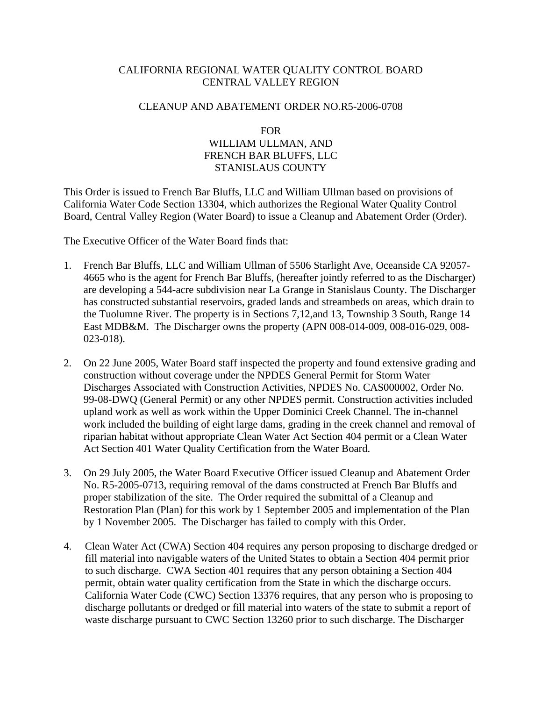# CALIFORNIA REGIONAL WATER QUALITY CONTROL BOARD CENTRAL VALLEY REGION

### CLEANUP AND ABATEMENT ORDER NO.R5-2006-0708

## FOR WILLIAM ULLMAN, AND FRENCH BAR BLUFFS, LLC STANISLAUS COUNTY

This Order is issued to French Bar Bluffs, LLC and William Ullman based on provisions of California Water Code Section 13304, which authorizes the Regional Water Quality Control Board, Central Valley Region (Water Board) to issue a Cleanup and Abatement Order (Order).

The Executive Officer of the Water Board finds that:

- 1. French Bar Bluffs, LLC and William Ullman of 5506 Starlight Ave, Oceanside CA 92057- 4665 who is the agent for French Bar Bluffs, (hereafter jointly referred to as the Discharger) are developing a 544-acre subdivision near La Grange in Stanislaus County. The Discharger has constructed substantial reservoirs, graded lands and streambeds on areas, which drain to the Tuolumne River. The property is in Sections 7,12,and 13, Township 3 South, Range 14 East MDB&M. The Discharger owns the property (APN 008-014-009, 008-016-029, 008- 023-018).
- 2. On 22 June 2005, Water Board staff inspected the property and found extensive grading and construction without coverage under the NPDES General Permit for Storm Water Discharges Associated with Construction Activities, NPDES No. CAS000002, Order No. 99-08-DWQ (General Permit) or any other NPDES permit. Construction activities included upland work as well as work within the Upper Dominici Creek Channel. The in-channel work included the building of eight large dams, grading in the creek channel and removal of riparian habitat without appropriate Clean Water Act Section 404 permit or a Clean Water Act Section 401 Water Quality Certification from the Water Board.
- 3. On 29 July 2005, the Water Board Executive Officer issued Cleanup and Abatement Order No. R5-2005-0713, requiring removal of the dams constructed at French Bar Bluffs and proper stabilization of the site. The Order required the submittal of a Cleanup and Restoration Plan (Plan) for this work by 1 September 2005 and implementation of the Plan by 1 November 2005. The Discharger has failed to comply with this Order.
- 4. Clean Water Act (CWA) Section 404 requires any person proposing to discharge dredged or fill material into navigable waters of the United States to obtain a Section 404 permit prior to such discharge. CWA Section 401 requires that any person obtaining a Section 404 permit, obtain water quality certification from the State in which the discharge occurs. California Water Code (CWC) Section 13376 requires, that any person who is proposing to discharge pollutants or dredged or fill material into waters of the state to submit a report of waste discharge pursuant to CWC Section 13260 prior to such discharge. The Discharger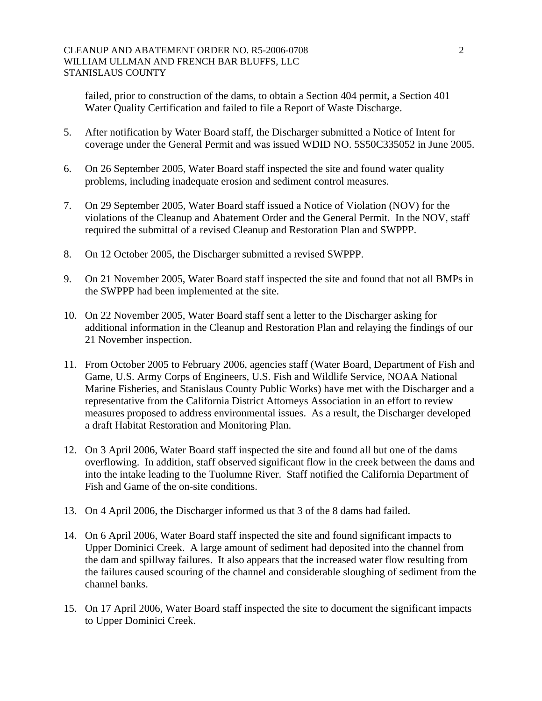#### CLEANUP AND ABATEMENT ORDER NO. R5-2006-0708 2 WILLIAM ULLMAN AND FRENCH BAR BLUFFS, LLC STANISLAUS COUNTY

failed, prior to construction of the dams, to obtain a Section 404 permit, a Section 401 Water Quality Certification and failed to file a Report of Waste Discharge.

- 5. After notification by Water Board staff, the Discharger submitted a Notice of Intent for coverage under the General Permit and was issued WDID NO. 5S50C335052 in June 2005.
- 6. On 26 September 2005, Water Board staff inspected the site and found water quality problems, including inadequate erosion and sediment control measures.
- 7. On 29 September 2005, Water Board staff issued a Notice of Violation (NOV) for the violations of the Cleanup and Abatement Order and the General Permit. In the NOV, staff required the submittal of a revised Cleanup and Restoration Plan and SWPPP.
- 8. On 12 October 2005, the Discharger submitted a revised SWPPP.
- 9. On 21 November 2005, Water Board staff inspected the site and found that not all BMPs in the SWPPP had been implemented at the site.
- 10. On 22 November 2005, Water Board staff sent a letter to the Discharger asking for additional information in the Cleanup and Restoration Plan and relaying the findings of our 21 November inspection.
- 11. From October 2005 to February 2006, agencies staff (Water Board, Department of Fish and Game, U.S. Army Corps of Engineers, U.S. Fish and Wildlife Service, NOAA National Marine Fisheries, and Stanislaus County Public Works) have met with the Discharger and a representative from the California District Attorneys Association in an effort to review measures proposed to address environmental issues. As a result, the Discharger developed a draft Habitat Restoration and Monitoring Plan.
- 12. On 3 April 2006, Water Board staff inspected the site and found all but one of the dams overflowing. In addition, staff observed significant flow in the creek between the dams and into the intake leading to the Tuolumne River. Staff notified the California Department of Fish and Game of the on-site conditions.
- 13. On 4 April 2006, the Discharger informed us that 3 of the 8 dams had failed.
- 14. On 6 April 2006, Water Board staff inspected the site and found significant impacts to Upper Dominici Creek. A large amount of sediment had deposited into the channel from the dam and spillway failures. It also appears that the increased water flow resulting from the failures caused scouring of the channel and considerable sloughing of sediment from the channel banks.
- 15. On 17 April 2006, Water Board staff inspected the site to document the significant impacts to Upper Dominici Creek.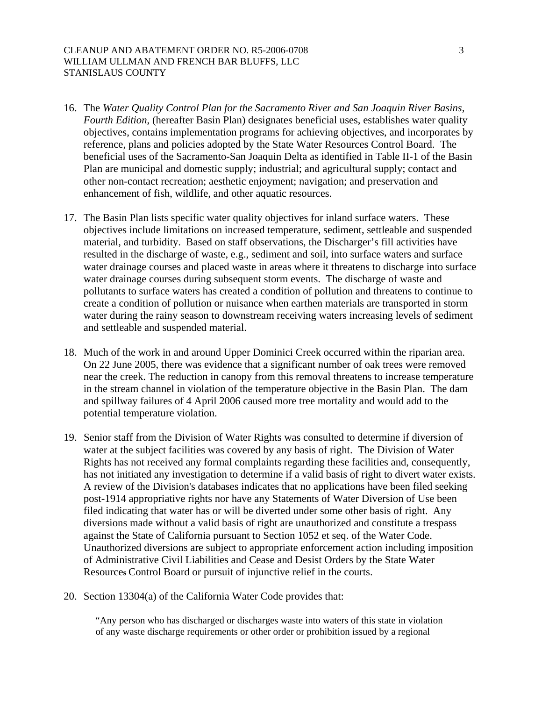#### CLEANUP AND ABATEMENT ORDER NO. R5-2006-0708 3 WILLIAM ULLMAN AND FRENCH BAR BLUFFS, LLC STANISLAUS COUNTY

- 16. The *Water Quality Control Plan for the Sacramento River and San Joaquin River Basins, Fourth Edition*, (hereafter Basin Plan) designates beneficial uses, establishes water quality objectives, contains implementation programs for achieving objectives, and incorporates by reference, plans and policies adopted by the State Water Resources Control Board. The beneficial uses of the Sacramento-San Joaquin Delta as identified in Table II-1 of the Basin Plan are municipal and domestic supply; industrial; and agricultural supply; contact and other non-contact recreation; aesthetic enjoyment; navigation; and preservation and enhancement of fish, wildlife, and other aquatic resources.
- 17. The Basin Plan lists specific water quality objectives for inland surface waters. These objectives include limitations on increased temperature, sediment, settleable and suspended material, and turbidity. Based on staff observations, the Discharger's fill activities have resulted in the discharge of waste, e.g., sediment and soil, into surface waters and surface water drainage courses and placed waste in areas where it threatens to discharge into surface water drainage courses during subsequent storm events. The discharge of waste and pollutants to surface waters has created a condition of pollution and threatens to continue to create a condition of pollution or nuisance when earthen materials are transported in storm water during the rainy season to downstream receiving waters increasing levels of sediment and settleable and suspended material.
- 18. Much of the work in and around Upper Dominici Creek occurred within the riparian area. On 22 June 2005, there was evidence that a significant number of oak trees were removed near the creek. The reduction in canopy from this removal threatens to increase temperature in the stream channel in violation of the temperature objective in the Basin Plan. The dam and spillway failures of 4 April 2006 caused more tree mortality and would add to the potential temperature violation.
- 19. Senior staff from the Division of Water Rights was consulted to determine if diversion of water at the subject facilities was covered by any basis of right. The Division of Water Rights has not received any formal complaints regarding these facilities and, consequently, has not initiated any investigation to determine if a valid basis of right to divert water exists. A review of the Division's databases indicates that no applications have been filed seeking post-1914 appropriative rights nor have any Statements of Water Diversion of Use been filed indicating that water has or will be diverted under some other basis of right. Any diversions made without a valid basis of right are unauthorized and constitute a trespass against the State of California pursuant to Section 1052 et seq. of the Water Code. Unauthorized diversions are subject to appropriate enforcement action including imposition of Administrative Civil Liabilities and Cease and Desist Orders by the State Water Resource**s** Control Board or pursuit of injunctive relief in the courts.
- 20. Section 13304(a) of the California Water Code provides that:

"Any person who has discharged or discharges waste into waters of this state in violation of any waste discharge requirements or other order or prohibition issued by a regional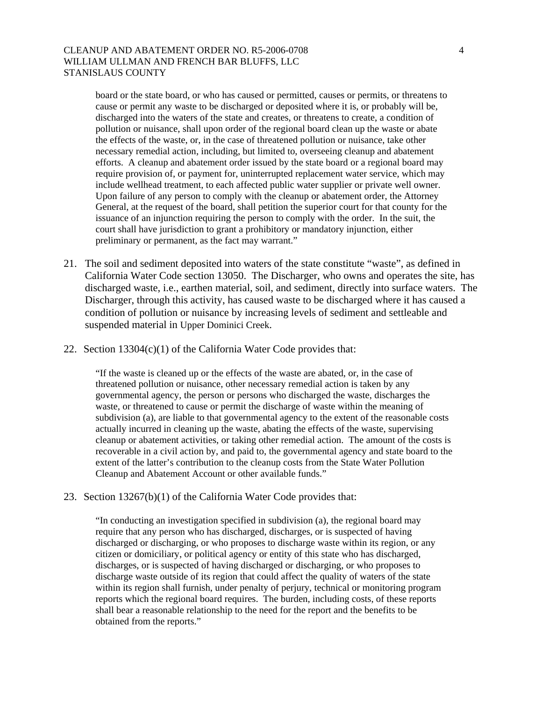#### CLEANUP AND ABATEMENT ORDER NO. R5-2006-0708 4 WILLIAM ULLMAN AND FRENCH BAR BLUFFS, LLC STANISLAUS COUNTY

board or the state board, or who has caused or permitted, causes or permits, or threatens to cause or permit any waste to be discharged or deposited where it is, or probably will be, discharged into the waters of the state and creates, or threatens to create, a condition of pollution or nuisance, shall upon order of the regional board clean up the waste or abate the effects of the waste, or, in the case of threatened pollution or nuisance, take other necessary remedial action, including, but limited to, overseeing cleanup and abatement efforts. A cleanup and abatement order issued by the state board or a regional board may require provision of, or payment for, uninterrupted replacement water service, which may include wellhead treatment, to each affected public water supplier or private well owner. Upon failure of any person to comply with the cleanup or abatement order, the Attorney General, at the request of the board, shall petition the superior court for that county for the issuance of an injunction requiring the person to comply with the order. In the suit, the court shall have jurisdiction to grant a prohibitory or mandatory injunction, either preliminary or permanent, as the fact may warrant."

- 21. The soil and sediment deposited into waters of the state constitute "waste", as defined in California Water Code section 13050. The Discharger, who owns and operates the site, has discharged waste, i.e., earthen material, soil, and sediment, directly into surface waters. The Discharger, through this activity, has caused waste to be discharged where it has caused a condition of pollution or nuisance by increasing levels of sediment and settleable and suspended material in Upper Dominici Creek.
- 22. Section 13304(c)(1) of the California Water Code provides that:

"If the waste is cleaned up or the effects of the waste are abated, or, in the case of threatened pollution or nuisance, other necessary remedial action is taken by any governmental agency, the person or persons who discharged the waste, discharges the waste, or threatened to cause or permit the discharge of waste within the meaning of subdivision (a), are liable to that governmental agency to the extent of the reasonable costs actually incurred in cleaning up the waste, abating the effects of the waste, supervising cleanup or abatement activities, or taking other remedial action. The amount of the costs is recoverable in a civil action by, and paid to, the governmental agency and state board to the extent of the latter's contribution to the cleanup costs from the State Water Pollution Cleanup and Abatement Account or other available funds."

23. Section 13267(b)(1) of the California Water Code provides that:

"In conducting an investigation specified in subdivision (a), the regional board may require that any person who has discharged, discharges, or is suspected of having discharged or discharging, or who proposes to discharge waste within its region, or any citizen or domiciliary, or political agency or entity of this state who has discharged, discharges, or is suspected of having discharged or discharging, or who proposes to discharge waste outside of its region that could affect the quality of waters of the state within its region shall furnish, under penalty of perjury, technical or monitoring program reports which the regional board requires. The burden, including costs, of these reports shall bear a reasonable relationship to the need for the report and the benefits to be obtained from the reports."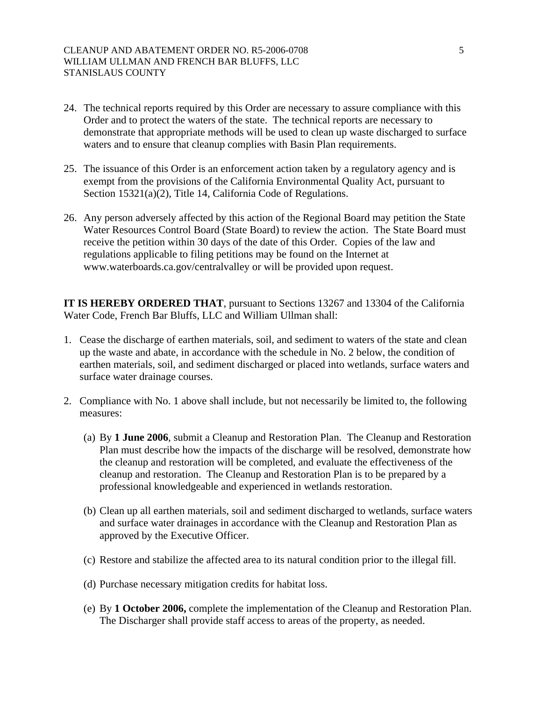#### CLEANUP AND ABATEMENT ORDER NO. R5-2006-0708 5 WILLIAM ULLMAN AND FRENCH BAR BLUFFS, LLC STANISLAUS COUNTY

- 24. The technical reports required by this Order are necessary to assure compliance with this Order and to protect the waters of the state. The technical reports are necessary to demonstrate that appropriate methods will be used to clean up waste discharged to surface waters and to ensure that cleanup complies with Basin Plan requirements.
- 25. The issuance of this Order is an enforcement action taken by a regulatory agency and is exempt from the provisions of the California Environmental Quality Act, pursuant to Section 15321(a)(2), Title 14, California Code of Regulations.
- 26. Any person adversely affected by this action of the Regional Board may petition the State Water Resources Control Board (State Board) to review the action. The State Board must receive the petition within 30 days of the date of this Order. Copies of the law and regulations applicable to filing petitions may be found on the Internet at www.waterboards.ca.gov/centralvalley or will be provided upon request.

**IT IS HEREBY ORDERED THAT**, pursuant to Sections 13267 and 13304 of the California Water Code, French Bar Bluffs, LLC and William Ullman shall:

- 1. Cease the discharge of earthen materials, soil, and sediment to waters of the state and clean up the waste and abate, in accordance with the schedule in No. 2 below, the condition of earthen materials, soil, and sediment discharged or placed into wetlands, surface waters and surface water drainage courses.
- 2. Compliance with No. 1 above shall include, but not necessarily be limited to, the following measures:
	- (a) By **1 June 2006**, submit a Cleanup and Restoration Plan. The Cleanup and Restoration Plan must describe how the impacts of the discharge will be resolved, demonstrate how the cleanup and restoration will be completed, and evaluate the effectiveness of the cleanup and restoration. The Cleanup and Restoration Plan is to be prepared by a professional knowledgeable and experienced in wetlands restoration.
	- (b) Clean up all earthen materials, soil and sediment discharged to wetlands, surface waters and surface water drainages in accordance with the Cleanup and Restoration Plan as approved by the Executive Officer.
	- (c) Restore and stabilize the affected area to its natural condition prior to the illegal fill.
	- (d) Purchase necessary mitigation credits for habitat loss.
	- (e) By **1 October 2006,** complete the implementation of the Cleanup and Restoration Plan. The Discharger shall provide staff access to areas of the property, as needed.